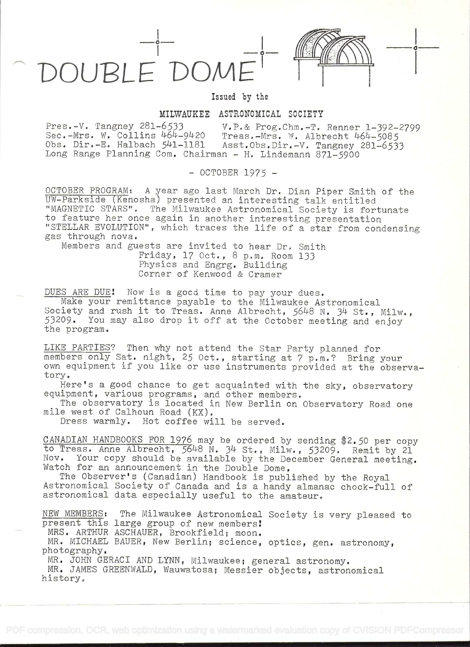DOUBLE<sup>'</sup> DOM

## Izsued by the

**i** in the second of the second

## MILWAUKEE ASTRONOMICAL SOCIETY

Pres.-V. Tangriey 281-6533 V.P.& Prog.Chrn.-T. Renner 1-392-2799 Sec.-Mrs. W. Collins 464-9420 Treas.-Mrs. W. Albrecht 464-5085 Obs. Dir.-E. Halbach 541-1181 Asst.Obs.Dir.-V. Tangney 281-6533 Long Range Planning Com. Chairman - H. Lindemann 871-5900

- OCTOBER 1975 -

OCTOBER PROGRAMt A year ago last March Dr. Dian Piper Smith of the UW-Parkside (Kenosha) presented an interesting talk entitled "MAGNETIC STARS". The Milwaukee Astronomical Society is fortunate to feature her once again in another interesting presentation 'STELLAR EVOLUTION", which traces the life of a star from condensing gas through nova.

Members and guests are invited to hear Dr, Smith Friday, 17 Oct. , 8 p.m, Room 133 Physics and Engrg. Building Corner of Kenwood & Cramer

DUES ARE DUE! Now is a gocd time to pay your dues.

Make your remittance payable to the Milwaukee Astronomical Society and rush it to Treas. Anne Albrecht, 5648 N. 34 St., Milw., 53209. You may also drop it off at the October meeting and enjoy the program.

LIKE PARTIES? Then why not attend the Star Party planned for members only Sat. night, 25 Oct., starting at 7 p.m.? Bring your own equipment if you like or use instruments provided at the observatory.

Here's a good chance to get acquainted with the sky, observatory equipment, various programs, and other members.

The observatory is located in New Berlin on Observatory Road one mile west of Calhoun Road (KX).

Dress warmly. Hot coffee will be served.

CANADIAN HANDBOOKS FOR 1976 may be ordered by sending \$2.50 per copy to Treas. Anne Albrecht, 5648 N. 34 St., Milw., 53209. Remit by 21 Nov. Your copy should be available by the December General meeting. Watch for an announcement in the Double Dome,

The Observer's (Canadian) Handbook is published by the Royal Astronomical Society of Canada and is a handy almanac chock-full of astronomical data especially useful to the amateur.

NEW MEMBERS: The Milwaukee Astronomical Society is very pleased to present this large group of new members!

MRS. ARTHUR ASCHAUER, Brookfield; moon.

MR. MICHAEL BAUER, New Berlin; science, optics, gen. astronomy, photography.

MR. JOHN GERACI AND LYNN, Milwaukee; general astronomy.

MR. JAMES GREENWALD, Wauwatosa; Messier objects, astronomical history.